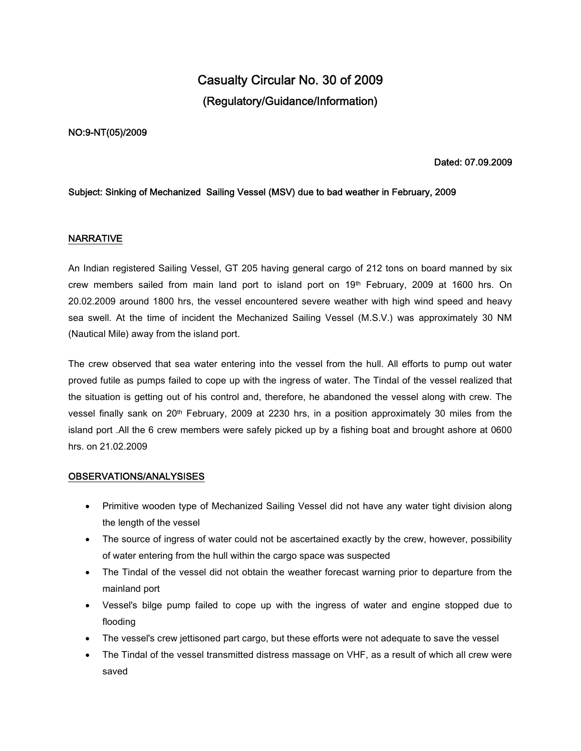# **Casualty Circular No. 30 of 2009 (Regulatory/Guidance/Information)**

#### **NO:9-NT(05)/2009**

#### **Dated: 07.09.2009**

#### **Subject: Sinking of Mechanized Sailing Vessel (MSV) due to bad weather in February, 2009**

### **NARRATIVE**

An Indian registered Sailing Vessel, GT 205 having general cargo of 212 tons on board manned by six crew members sailed from main land port to island port on  $19<sup>th</sup>$  February, 2009 at 1600 hrs. On 20.02.2009 around 1800 hrs, the vessel encountered severe weather with high wind speed and heavy sea swell. At the time of incident the Mechanized Sailing Vessel (M.S.V.) was approximately 30 NM (Nautical Mile) away from the island port.

The crew observed that sea water entering into the vessel from the hull. All efforts to pump out water proved futile as pumps failed to cope up with the ingress of water. The Tindal of the vessel realized that the situation is getting out of his control and, therefore, he abandoned the vessel along with crew. The vessel finally sank on 20th February, 2009 at 2230 hrs, in a position approximately 30 miles from the island port .All the 6 crew members were safely picked up by a fishing boat and brought ashore at 0600 hrs. on 21.02.2009

#### **OBSERVATIONS/ANALYSISES**

- Primitive wooden type of Mechanized Sailing Vessel did not have any water tight division along the length of the vessel
- The source of ingress of water could not be ascertained exactly by the crew, however, possibility of water entering from the hull within the cargo space was suspected
- The Tindal of the vessel did not obtain the weather forecast warning prior to departure from the mainland port
- Vessel's bilge pump failed to cope up with the ingress of water and engine stopped due to flooding
- The vessel's crew jettisoned part cargo, but these efforts were not adequate to save the vessel
- The Tindal of the vessel transmitted distress massage on VHF, as a result of which all crew were saved